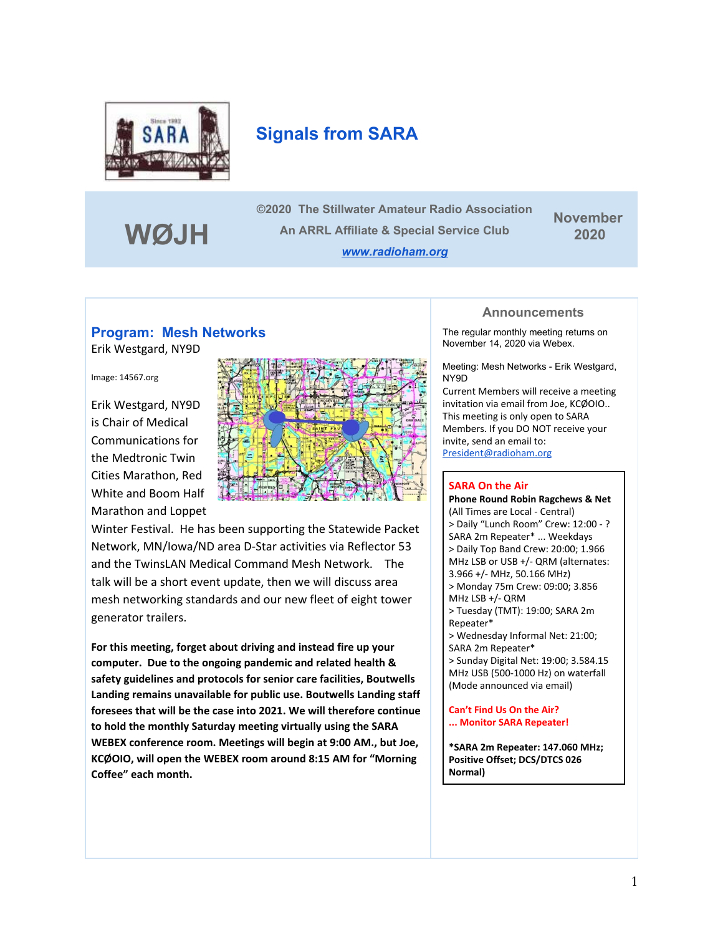

# **Signals from SARA**

**WØJH**

**©2020 The Stillwater Amateur Radio Association An ARRL Affiliate & Special Service Club** *[www.radioham.org](http://www.radioham.org/)*

**November 2020**

### **Program: Mesh Networks**

Erik Westgard, NY9D

Image: 14567.org

Erik Westgard, NY9D is Chair of Medical Communications for the Medtronic Twin Cities Marathon, Red White and Boom Half Marathon and Loppet



Winter Festival. He has been supporting the Statewide Packet Network, MN/Iowa/ND area D-Star activities via Reflector 53 and the TwinsLAN Medical Command Mesh Network. The talk will be a short event update, then we will discuss area mesh networking standards and our new fleet of eight tower generator trailers.

**For this meeting, forget about driving and instead fire up your computer. Due to the ongoing pandemic and related health & safety guidelines and protocols for senior care facilities, Boutwells Landing remains unavailable for public use. Boutwells Landing staff foresees that will be the case into 2021. We will therefore continue to hold the monthly Saturday meeting virtually using the SARA WEBEX conference room. Meetings will begin at 9:00 AM., but Joe, KCØOIO, will open the WEBEX room around 8:15 AM for "Morning Coffee" each month.**

#### **Announcements**

The regular monthly meeting returns on November 14, 2020 via Webex.

Meeting: Mesh Networks - Erik Westgard, NY9D

Current Members will receive a meeting invitation via email from Joe, KCØOIO.. This meeting is only open to SARA Members. If you DO NOT receive your invite, send an email to: [President@radioham.org](mailto:President@radioham.org)

### **SARA On the Air**

**Phone Round Robin Ragchews & Net** (All Times are Local - Central) > Daily "Lunch Room" Crew: 12:00 - ? SARA 2m Repeater\* ... Weekdays > Daily Top Band Crew: 20:00; 1.966 MHz LSB or USB +/- QRM (alternates: 3.966 +/- MHz, 50.166 MHz) > Monday 75m Crew: 09:00; 3.856 MHz LSB +/- QRM > Tuesday (TMT): 19:00; SARA 2m Repeater\* > Wednesday Informal Net: 21:00; SARA 2m Repeater\* > Sunday Digital Net: 19:00; 3.584.15 MHz USB (500-1000 Hz) on waterfall (Mode announced via email)

**Can't Find Us On the Air? ... Monitor SARA Repeater!**

**\*SARA 2m Repeater: 147.060 MHz; Positive Offset; DCS/DTCS 026 Normal)**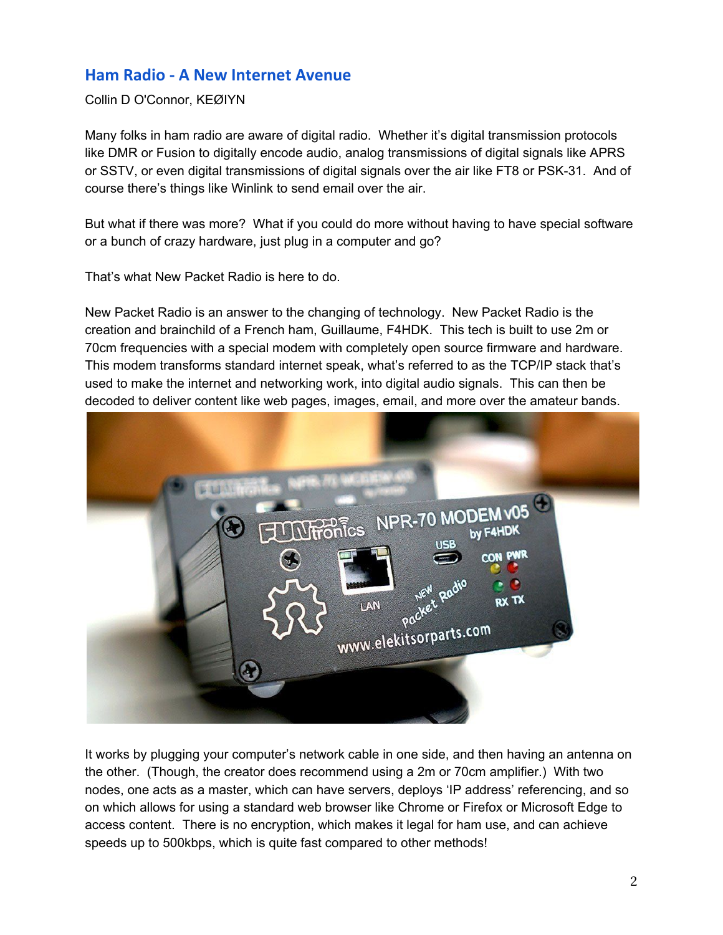## **Ham Radio - A New Internet Avenue**

Collin D O'Connor, KEØIYN

Many folks in ham radio are aware of digital radio. Whether it's digital transmission protocols like DMR or Fusion to digitally encode audio, analog transmissions of digital signals like APRS or SSTV, or even digital transmissions of digital signals over the air like FT8 or PSK-31. And of course there's things like Winlink to send email over the air.

But what if there was more? What if you could do more without having to have special software or a bunch of crazy hardware, just plug in a computer and go?

That's what New Packet Radio is here to do.

New Packet Radio is an answer to the changing of technology. New Packet Radio is the creation and brainchild of a French ham, Guillaume, F4HDK. This tech is built to use 2m or 70cm frequencies with a special modem with completely open source firmware and hardware. This modem transforms standard internet speak, what's referred to as the TCP/IP stack that's used to make the internet and networking work, into digital audio signals. This can then be decoded to deliver content like web pages, images, email, and more over the amateur bands.



It works by plugging your computer's network cable in one side, and then having an antenna on the other. (Though, the creator does recommend using a 2m or 70cm amplifier.) With two nodes, one acts as a master, which can have servers, deploys 'IP address' referencing, and so on which allows for using a standard web browser like Chrome or Firefox or Microsoft Edge to access content. There is no encryption, which makes it legal for ham use, and can achieve speeds up to 500kbps, which is quite fast compared to other methods!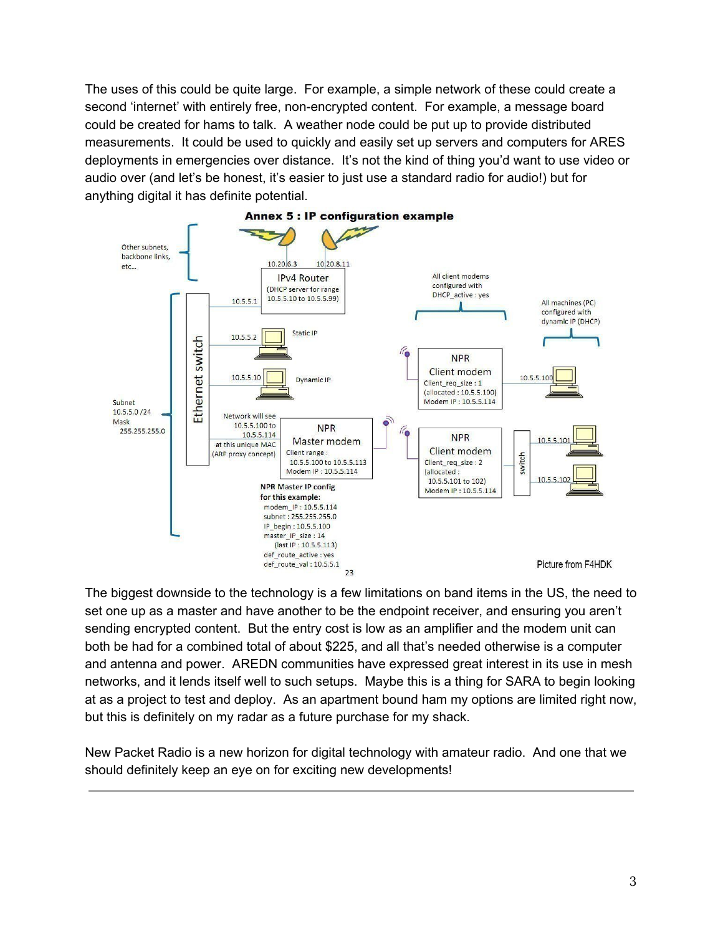The uses of this could be quite large. For example, a simple network of these could create a second 'internet' with entirely free, non-encrypted content. For example, a message board could be created for hams to talk. A weather node could be put up to provide distributed measurements. It could be used to quickly and easily set up servers and computers for ARES deployments in emergencies over distance. It's not the kind of thing you'd want to use video or audio over (and let's be honest, it's easier to just use a standard radio for audio!) but for anything digital it has definite potential.



The biggest downside to the technology is a few limitations on band items in the US, the need to set one up as a master and have another to be the endpoint receiver, and ensuring you aren't sending encrypted content. But the entry cost is low as an amplifier and the modem unit can both be had for a combined total of about \$225, and all that's needed otherwise is a computer and antenna and power. AREDN communities have expressed great interest in its use in mesh networks, and it lends itself well to such setups. Maybe this is a thing for SARA to begin looking at as a project to test and deploy. As an apartment bound ham my options are limited right now, but this is definitely on my radar as a future purchase for my shack.

New Packet Radio is a new horizon for digital technology with amateur radio. And one that we should definitely keep an eye on for exciting new developments!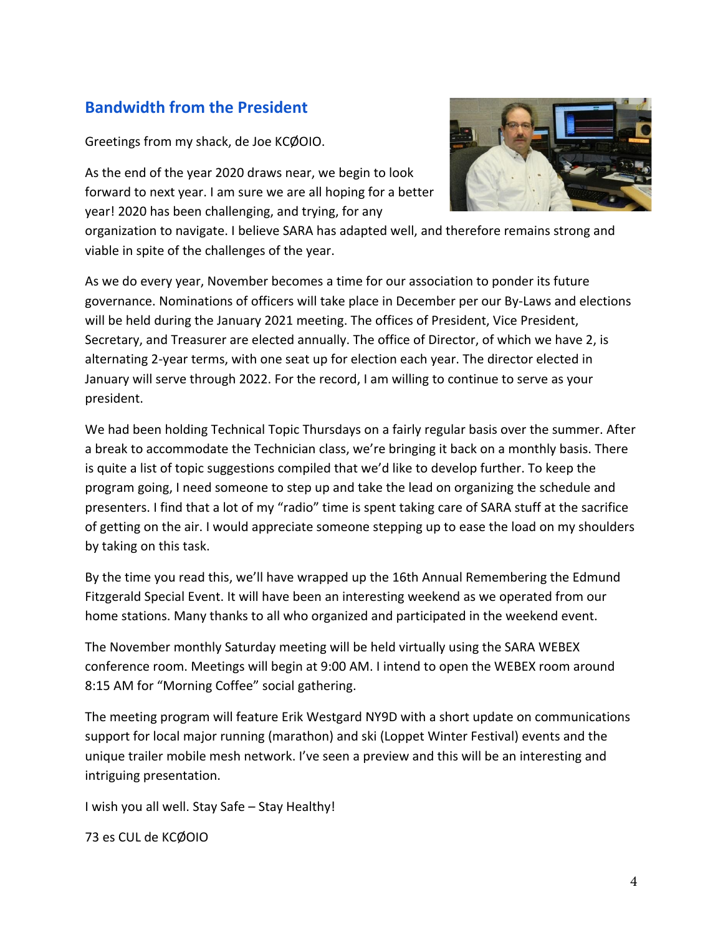# **Bandwidth from the President**

Greetings from my shack, de Joe KCØOIO.

As the end of the year 2020 draws near, we begin to look forward to next year. I am sure we are all hoping for a better year! 2020 has been challenging, and trying, for any

organization to navigate. I believe SARA has adapted well, and therefore remains strong and viable in spite of the challenges of the year.

As we do every year, November becomes a time for our association to ponder its future governance. Nominations of officers will take place in December per our By-Laws and elections will be held during the January 2021 meeting. The offices of President, Vice President, Secretary, and Treasurer are elected annually. The office of Director, of which we have 2, is alternating 2-year terms, with one seat up for election each year. The director elected in January will serve through 2022. For the record, I am willing to continue to serve as your president.

We had been holding Technical Topic Thursdays on a fairly regular basis over the summer. After a break to accommodate the Technician class, we're bringing it back on a monthly basis. There is quite a list of topic suggestions compiled that we'd like to develop further. To keep the program going, I need someone to step up and take the lead on organizing the schedule and presenters. I find that a lot of my "radio" time is spent taking care of SARA stuff at the sacrifice of getting on the air. I would appreciate someone stepping up to ease the load on my shoulders by taking on this task.

By the time you read this, we'll have wrapped up the 16th Annual Remembering the Edmund Fitzgerald Special Event. It will have been an interesting weekend as we operated from our home stations. Many thanks to all who organized and participated in the weekend event.

The November monthly Saturday meeting will be held virtually using the SARA WEBEX conference room. Meetings will begin at 9:00 AM. I intend to open the WEBEX room around 8:15 AM for "Morning Coffee" social gathering.

The meeting program will feature Erik Westgard NY9D with a short update on communications support for local major running (marathon) and ski (Loppet Winter Festival) events and the unique trailer mobile mesh network. I've seen a preview and this will be an interesting and intriguing presentation.

I wish you all well. Stay Safe – Stay Healthy!

73 es CUL de KCØOIO

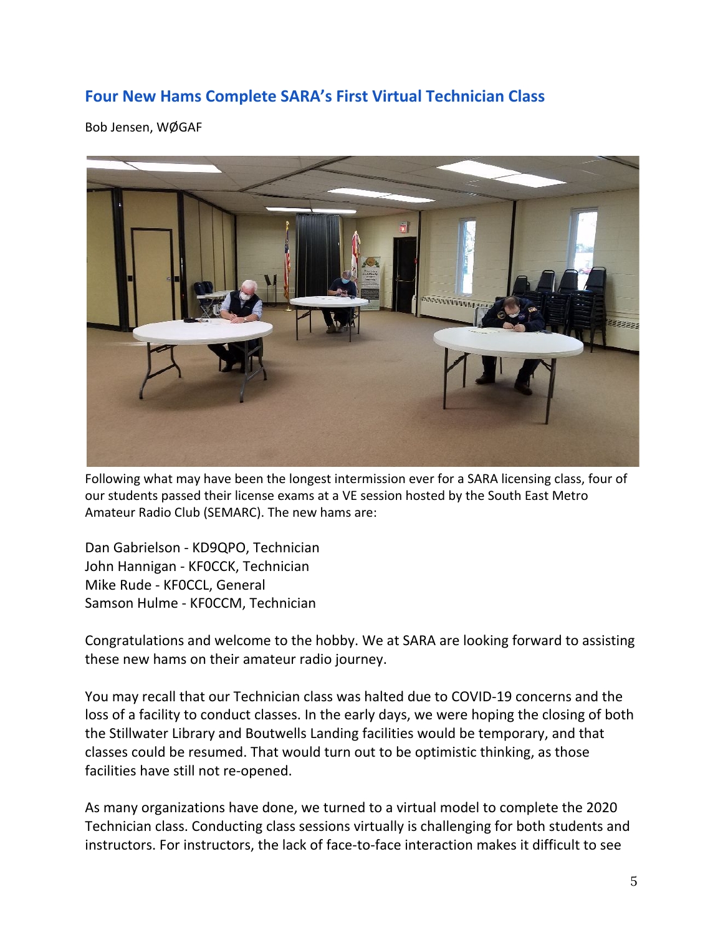# **Four New Hams Complete SARA's First Virtual Technician Class**

Bob Jensen, WØGAF



Following what may have been the longest intermission ever for a SARA licensing class, four of our students passed their license exams at a VE session hosted by the South East Metro Amateur Radio Club (SEMARC). The new hams are:

Dan Gabrielson - KD9QPO, Technician John Hannigan - KF0CCK, Technician Mike Rude - KF0CCL, General Samson Hulme - KF0CCM, Technician

Congratulations and welcome to the hobby. We at SARA are looking forward to assisting these new hams on their amateur radio journey.

You may recall that our Technician class was halted due to COVID-19 concerns and the loss of a facility to conduct classes. In the early days, we were hoping the closing of both the Stillwater Library and Boutwells Landing facilities would be temporary, and that classes could be resumed. That would turn out to be optimistic thinking, as those facilities have still not re-opened.

As many organizations have done, we turned to a virtual model to complete the 2020 Technician class. Conducting class sessions virtually is challenging for both students and instructors. For instructors, the lack of face-to-face interaction makes it difficult to see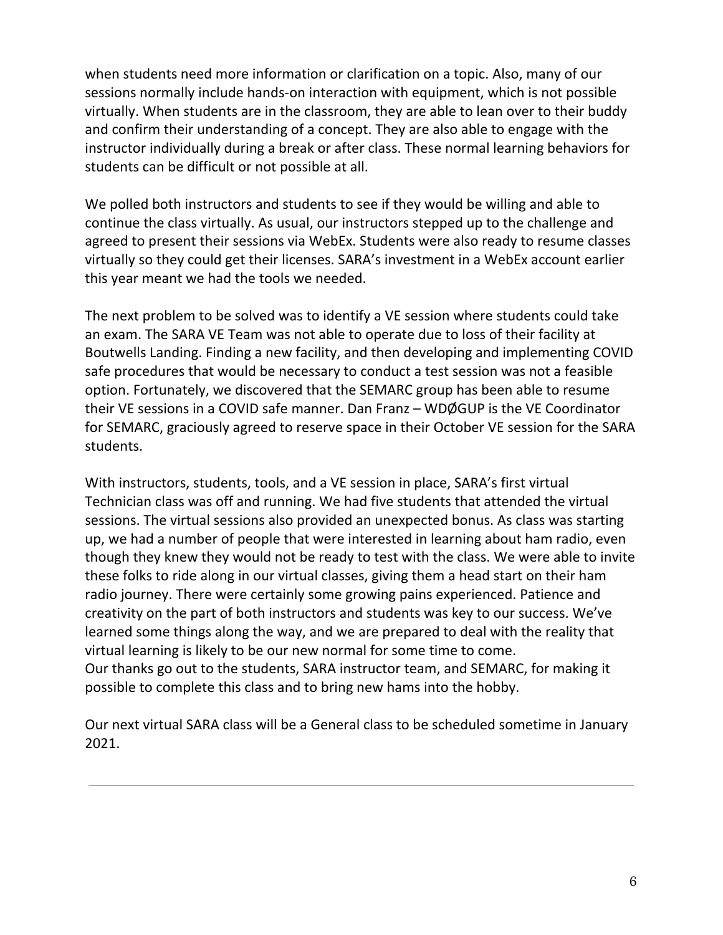when students need more information or clarification on a topic. Also, many of our sessions normally include hands-on interaction with equipment, which is not possible virtually. When students are in the classroom, they are able to lean over to their buddy and confirm their understanding of a concept. They are also able to engage with the instructor individually during a break or after class. These normal learning behaviors for students can be difficult or not possible at all.

We polled both instructors and students to see if they would be willing and able to continue the class virtually. As usual, our instructors stepped up to the challenge and agreed to present their sessions via WebEx. Students were also ready to resume classes virtually so they could get their licenses. SARA's investment in a WebEx account earlier this year meant we had the tools we needed.

The next problem to be solved was to identify a VE session where students could take an exam. The SARA VE Team was not able to operate due to loss of their facility at Boutwells Landing. Finding a new facility, and then developing and implementing COVID safe procedures that would be necessary to conduct a test session was not a feasible option. Fortunately, we discovered that the SEMARC group has been able to resume their VE sessions in a COVID safe manner. Dan Franz – WDØGUP is the VE Coordinator for SEMARC, graciously agreed to reserve space in their October VE session for the SARA students.

With instructors, students, tools, and a VE session in place, SARA's first virtual Technician class was off and running. We had five students that attended the virtual sessions. The virtual sessions also provided an unexpected bonus. As class was starting up, we had a number of people that were interested in learning about ham radio, even though they knew they would not be ready to test with the class. We were able to invite these folks to ride along in our virtual classes, giving them a head start on their ham radio journey. There were certainly some growing pains experienced. Patience and creativity on the part of both instructors and students was key to our success. We've learned some things along the way, and we are prepared to deal with the reality that virtual learning is likely to be our new normal for some time to come. Our thanks go out to the students, SARA instructor team, and SEMARC, for making it possible to complete this class and to bring new hams into the hobby.

Our next virtual SARA class will be a General class to be scheduled sometime in January 2021.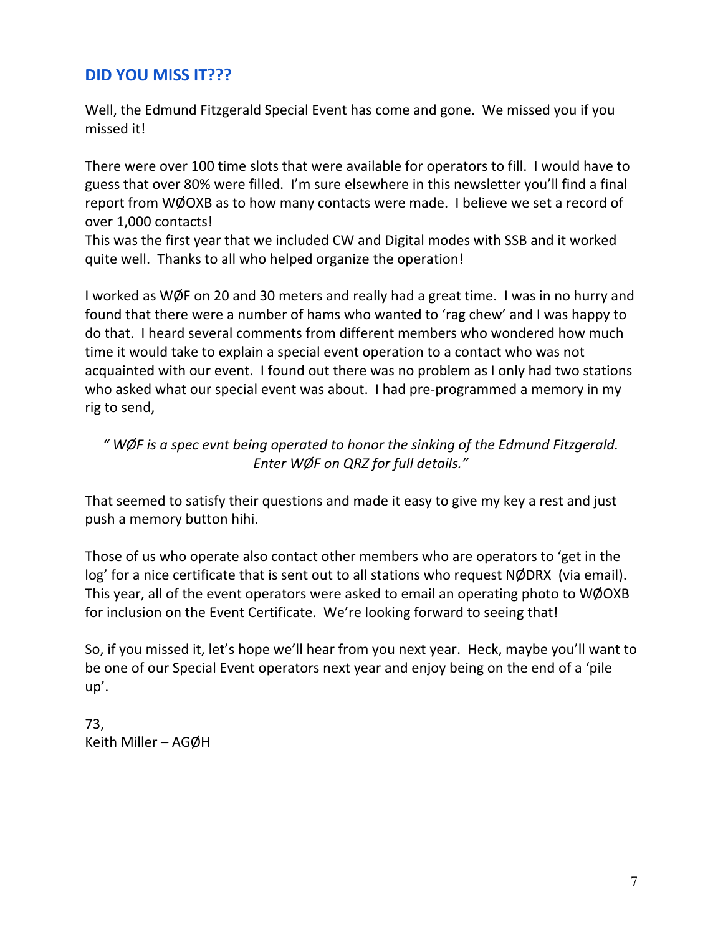# **DID YOU MISS IT???**

Well, the Edmund Fitzgerald Special Event has come and gone. We missed you if you missed it!

There were over 100 time slots that were available for operators to fill. I would have to guess that over 80% were filled. I'm sure elsewhere in this newsletter you'll find a final report from WØOXB as to how many contacts were made. I believe we set a record of over 1,000 contacts!

This was the first year that we included CW and Digital modes with SSB and it worked quite well. Thanks to all who helped organize the operation!

I worked as WØF on 20 and 30 meters and really had a great time. I was in no hurry and found that there were a number of hams who wanted to 'rag chew' and I was happy to do that. I heard several comments from different members who wondered how much time it would take to explain a special event operation to a contact who was not acquainted with our event. I found out there was no problem as I only had two stations who asked what our special event was about. I had pre-programmed a memory in my rig to send,

## *" WØF is a spec evnt being operated to honor the sinking of the Edmund Fitzgerald. Enter WØF on QRZ for full details."*

That seemed to satisfy their questions and made it easy to give my key a rest and just push a memory button hihi.

Those of us who operate also contact other members who are operators to 'get in the log' for a nice certificate that is sent out to all stations who request NØDRX (via email). This year, all of the event operators were asked to email an operating photo to WØOXB for inclusion on the Event Certificate. We're looking forward to seeing that!

So, if you missed it, let's hope we'll hear from you next year. Heck, maybe you'll want to be one of our Special Event operators next year and enjoy being on the end of a 'pile up'.

73, Keith Miller – AGØH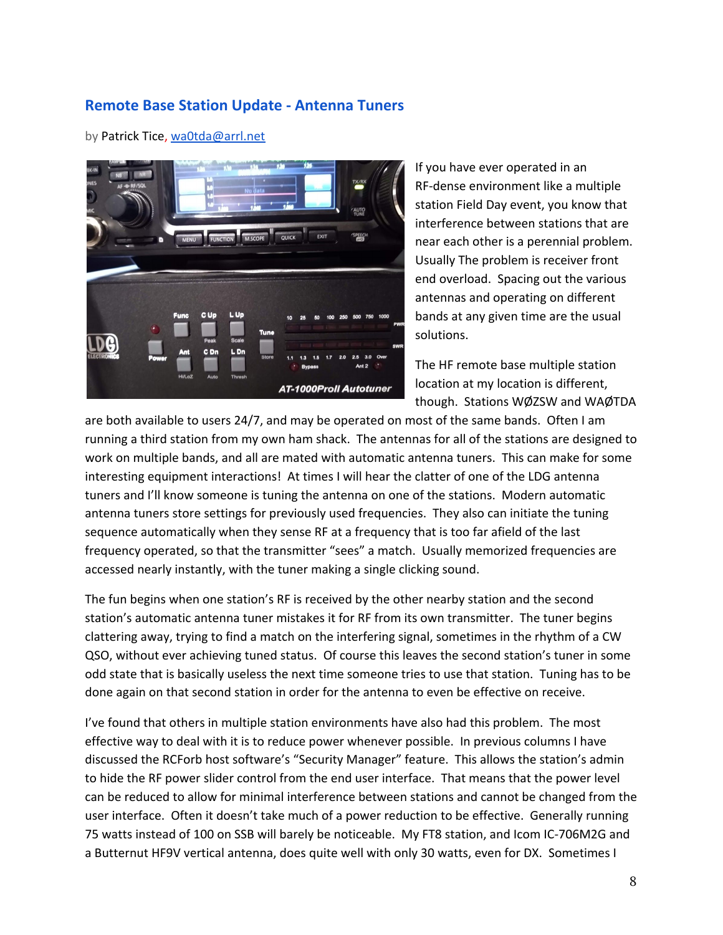### **Remote Base Station Update - Antenna Tuners**

### by Patrick Tice, waOtda@arrl.net



If you have ever operated in an RF-dense environment like a multiple station Field Day event, you know that interference between stations that are near each other is a perennial problem. Usually The problem is receiver front end overload. Spacing out the various antennas and operating on different bands at any given time are the usual solutions.

The HF remote base multiple station location at my location is different, though. Stations WØZSW and WAØTDA

are both available to users 24/7, and may be operated on most of the same bands. Often I am running a third station from my own ham shack. The antennas for all of the stations are designed to work on multiple bands, and all are mated with automatic antenna tuners. This can make for some interesting equipment interactions! At times I will hear the clatter of one of the LDG antenna tuners and I'll know someone is tuning the antenna on one of the stations. Modern automatic antenna tuners store settings for previously used frequencies. They also can initiate the tuning sequence automatically when they sense RF at a frequency that is too far afield of the last frequency operated, so that the transmitter "sees" a match. Usually memorized frequencies are accessed nearly instantly, with the tuner making a single clicking sound.

The fun begins when one station's RF is received by the other nearby station and the second station's automatic antenna tuner mistakes it for RF from its own transmitter. The tuner begins clattering away, trying to find a match on the interfering signal, sometimes in the rhythm of a CW QSO, without ever achieving tuned status. Of course this leaves the second station's tuner in some odd state that is basically useless the next time someone tries to use that station. Tuning has to be done again on that second station in order for the antenna to even be effective on receive.

I've found that others in multiple station environments have also had this problem. The most effective way to deal with it is to reduce power whenever possible. In previous columns I have discussed the RCForb host software's "Security Manager" feature. This allows the station's admin to hide the RF power slider control from the end user interface. That means that the power level can be reduced to allow for minimal interference between stations and cannot be changed from the user interface. Often it doesn't take much of a power reduction to be effective. Generally running 75 watts instead of 100 on SSB will barely be noticeable. My FT8 station, and Icom IC-706M2G and a Butternut HF9V vertical antenna, does quite well with only 30 watts, even for DX. Sometimes I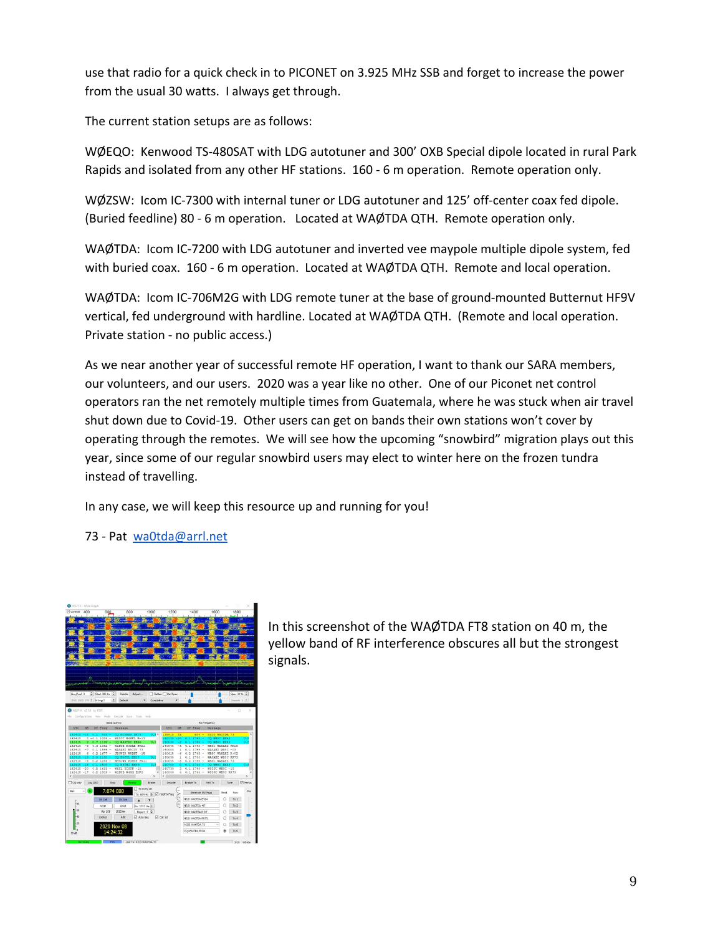use that radio for a quick check in to PICONET on 3.925 MHz SSB and forget to increase the power from the usual 30 watts. I always get through.

The current station setups are as follows:

WØEQO: Kenwood TS-480SAT with LDG autotuner and 300' OXB Special dipole located in rural Park Rapids and isolated from any other HF stations. 160 - 6 m operation. Remote operation only.

WØZSW: Icom IC-7300 with internal tuner or LDG autotuner and 125' off-center coax fed dipole. (Buried feedline) 80 - 6 m operation. Located at WAØTDA QTH. Remote operation only.

WAØTDA: Icom IC-7200 with LDG autotuner and inverted vee maypole multiple dipole system, fed with buried coax. 160 - 6 m operation. Located at WAØTDA QTH. Remote and local operation.

WAØTDA: Icom IC-706M2G with LDG remote tuner at the base of ground-mounted Butternut HF9V vertical, fed underground with hardline. Located at WAØTDA QTH. (Remote and local operation. Private station - no public access.)

As we near another year of successful remote HF operation, I want to thank our SARA members, our volunteers, and our users. 2020 was a year like no other. One of our Piconet net control operators ran the net remotely multiple times from Guatemala, where he was stuck when air travel shut down due to Covid-19. Other users can get on bands their own stations won't cover by operating through the remotes. We will see how the upcoming "snowbird" migration plays out this year, since some of our regular snowbird users may elect to winter here on the frozen tundra instead of travelling.

In any case, we will keep this resource up and running for you!

73 - Pat [wa0tda@arrl.net](mailto:wa0tda@arrl.net)



In this screenshot of the WAØTDA FT8 station on 40 m, the yellow band of RF interference obscures all but the strongest signals.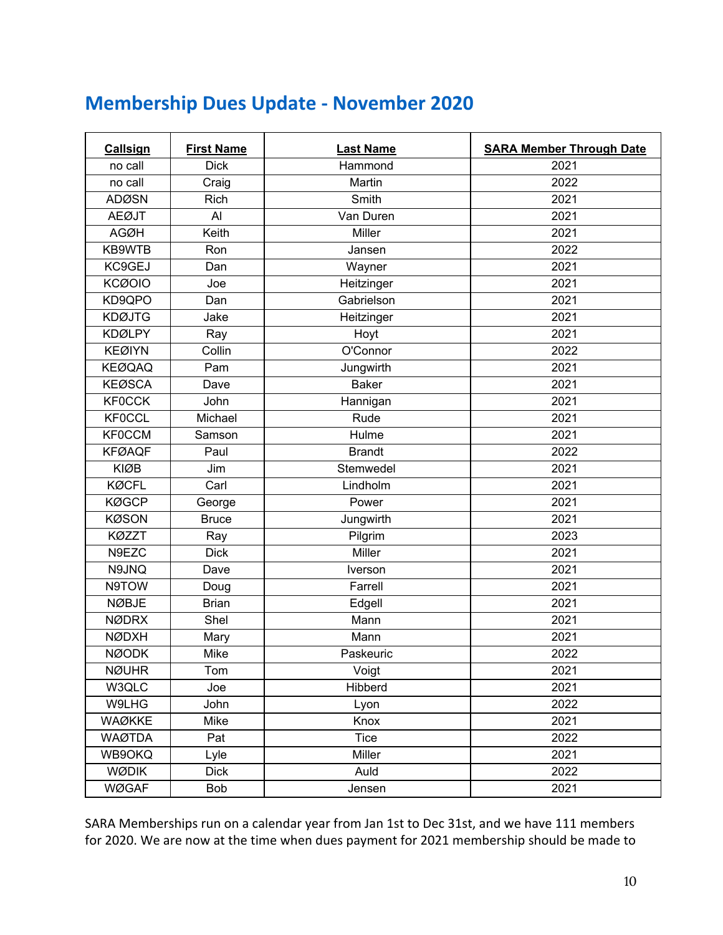# **Membership Dues Update - November 2020**

| Callsign      | <b>First Name</b> | <b>Last Name</b> | <b>SARA Member Through Date</b> |
|---------------|-------------------|------------------|---------------------------------|
| no call       | <b>Dick</b>       | Hammond          | 2021                            |
| no call       | Craig             | Martin           | 2022                            |
| <b>ADØSN</b>  | Rich              | Smith            | 2021                            |
| <b>AEØJT</b>  | Al                | Van Duren        | 2021                            |
| <b>AGØH</b>   | Keith             | Miller           | 2021                            |
| KB9WTB        | Ron               | Jansen           | 2022                            |
| KC9GEJ        | Dan               | Wayner           | 2021                            |
| <b>KCØOIO</b> | Joe               | Heitzinger       | 2021                            |
| KD9QPO        | Dan               | Gabrielson       | 2021                            |
| <b>KDØJTG</b> | Jake              | Heitzinger       | 2021                            |
| <b>KDØLPY</b> | Ray               | Hoyt             | 2021                            |
| <b>KEØIYN</b> | Collin            | O'Connor         | 2022                            |
| <b>KEØQAQ</b> | Pam               | Jungwirth        | 2021                            |
| <b>KEØSCA</b> | Dave              | <b>Baker</b>     | 2021                            |
| <b>KF0CCK</b> | John              | Hannigan         | 2021                            |
| <b>KF0CCL</b> | Michael           | Rude             | 2021                            |
| <b>KF0CCM</b> | Samson            | Hulme            | 2021                            |
| <b>KFØAQF</b> | Paul              | <b>Brandt</b>    | 2022                            |
| <b>KIØB</b>   | Jim               | Stemwedel        | 2021                            |
| <b>KØCFL</b>  | Carl              | Lindholm         | 2021                            |
| <b>KØGCP</b>  | George            | Power            | 2021                            |
| <b>KØSON</b>  | <b>Bruce</b>      | Jungwirth        | 2021                            |
| <b>KØZZT</b>  | Ray               | Pilgrim          | 2023                            |
| N9EZC         | <b>Dick</b>       | Miller           | 2021                            |
| N9JNQ         | Dave              | Iverson          | 2021                            |
| N9TOW         | Doug              | Farrell          | 2021                            |
| <b>NØBJE</b>  | <b>Brian</b>      | Edgell           | 2021                            |
| <b>NØDRX</b>  | Shel              | Mann             | 2021                            |
| <b>NØDXH</b>  | Mary              | Mann             | 2021                            |
| <b>NØODK</b>  | Mike              | Paskeuric        | 2022                            |
| <b>NØUHR</b>  | Tom               | Voigt            | 2021                            |
| W3QLC         | Joe               | Hibberd          | 2021                            |
| W9LHG         | John              | Lyon             | 2022                            |
| <b>WAØKKE</b> | Mike              | Knox             | 2021                            |
| <b>WAØTDA</b> | Pat               | <b>Tice</b>      | 2022                            |
| WB9OKQ        | Lyle              | Miller           | 2021                            |
| <b>WØDIK</b>  | <b>Dick</b>       | Auld             | 2022                            |
| <b>WØGAF</b>  | Bob               | Jensen           | 2021                            |

SARA Memberships run on a calendar year from Jan 1st to Dec 31st, and we have 111 members for 2020. We are now at the time when dues payment for 2021 membership should be made to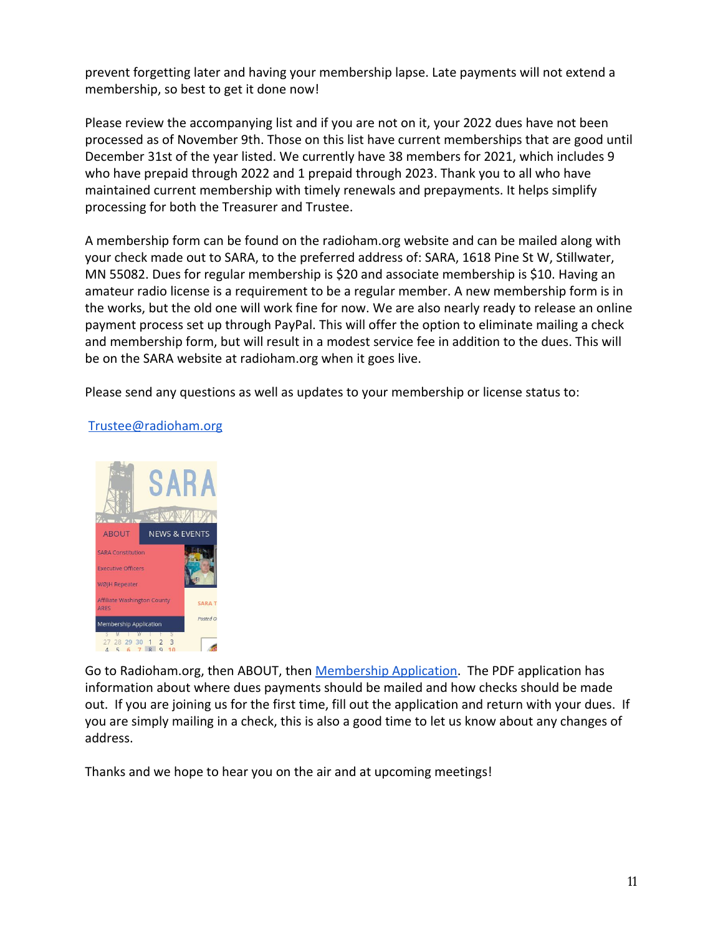prevent forgetting later and having your membership lapse. Late payments will not extend a membership, so best to get it done now!

Please review the accompanying list and if you are not on it, your 2022 dues have not been processed as of November 9th. Those on this list have current memberships that are good until December 31st of the year listed. We currently have 38 members for 2021, which includes 9 who have prepaid through 2022 and 1 prepaid through 2023. Thank you to all who have maintained current membership with timely renewals and prepayments. It helps simplify processing for both the Treasurer and Trustee.

A membership form can be found on the radioham.org website and can be mailed along with your check made out to SARA, to the preferred address of: SARA, 1618 Pine St W, Stillwater, MN 55082. Dues for regular membership is \$20 and associate membership is \$10. Having an amateur radio license is a requirement to be a regular member. A new membership form is in the works, but the old one will work fine for now. We are also nearly ready to release an online payment process set up through PayPal. This will offer the option to eliminate mailing a check and membership form, but will result in a modest service fee in addition to the dues. This will be on the SARA website at radioham.org when it goes live.

Please send any questions as well as updates to your membership or license status to:



### [Trustee@radioham.org](mailto:Trustee@radioham.org)

Go to Radioham.org, then ABOUT, then [Membership Application.](http://www.radioham.org/radioham_files/wp-content/uploads/2018/01/MemberAppForm1801_Fillable.pdf) The PDF application has information about where dues payments should be mailed and how checks should be made out. If you are joining us for the first time, fill out the application and return with your dues. If you are simply mailing in a check, this is also a good time to let us know about any changes of address.

Thanks and we hope to hear you on the air and at upcoming meetings!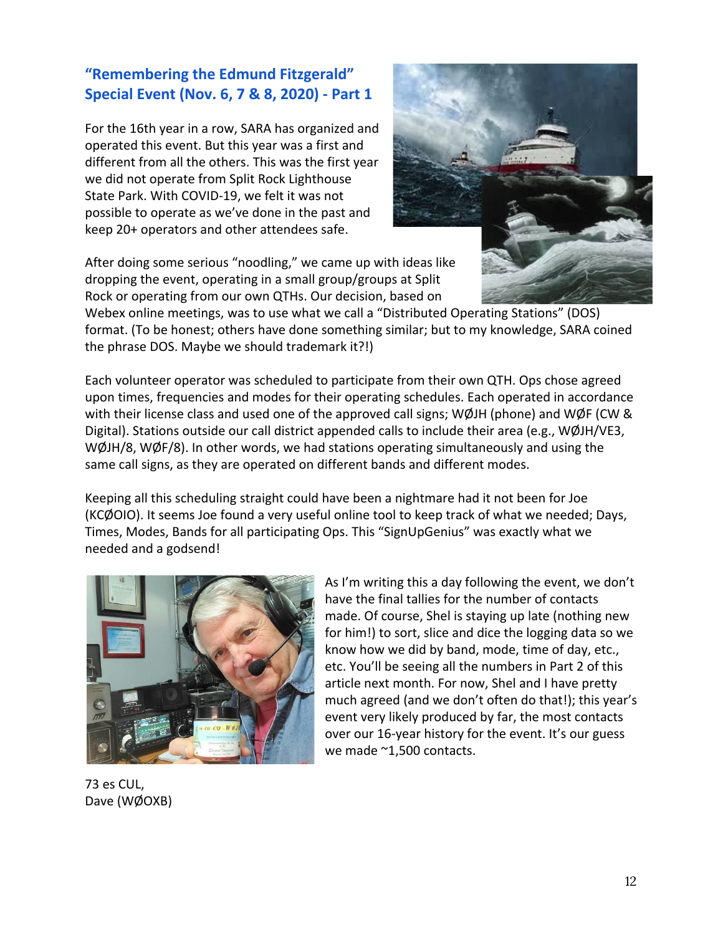# **"Remembering the Edmund Fitzgerald" Special Event (Nov. 6, 7 & 8, 2020) - Part 1**

For the 16th year in a row, SARA has organized and operated this event. But this year was a first and different from all the others. This was the first year we did not operate from Split Rock Lighthouse State Park. With COVID-19, we felt it was not possible to operate as we've done in the past and keep 20+ operators and other attendees safe.



After doing some serious "noodling," we came up with ideas like dropping the event, operating in a small group/groups at Split Rock or operating from our own QTHs. Our decision, based on

Webex online meetings, was to use what we call a "Distributed Operating Stations" (DOS) format. (To be honest; others have done something similar; but to my knowledge, SARA coined the phrase DOS. Maybe we should trademark it?!)

Each volunteer operator was scheduled to participate from their own QTH. Ops chose agreed upon times, frequencies and modes for their operating schedules. Each operated in accordance with their license class and used one of the approved call signs; WØJH (phone) and WØF (CW & Digital). Stations outside our call district appended calls to include their area (e.g., WØJH/VE3, WØJH/8, WØF/8). In other words, we had stations operating simultaneously and using the same call signs, as they are operated on different bands and different modes.

Keeping all this scheduling straight could have been a nightmare had it not been for Joe (KCØOIO). It seems Joe found a very useful online tool to keep track of what we needed; Days, Times, Modes, Bands for all participating Ops. This "SignUpGenius" was exactly what we needed and a godsend!



As I'm writing this a day following the event, we don't have the final tallies for the number of contacts made. Of course, Shel is staying up late (nothing new for him!) to sort, slice and dice the logging data so we know how we did by band, mode, time of day, etc., etc. You'll be seeing all the numbers in Part 2 of this article next month. For now, Shel and I have pretty much agreed (and we don't often do that!); this year's event very likely produced by far, the most contacts over our 16-year history for the event. It's our guess we made ~1,500 contacts.

73 es CUL, Dave (WØOXB)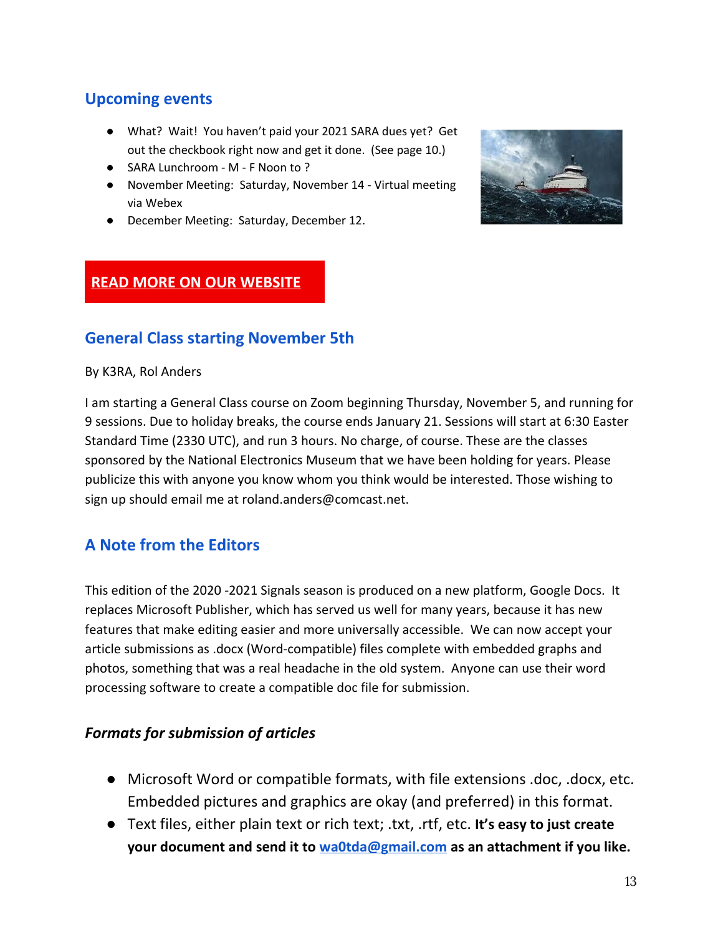# **Upcoming events**

- What? Wait! You haven't paid your 2021 SARA dues yet? Get out the checkbook right now and get it done. (See page 10.)
- SARA Lunchroom M F Noon to ?
- November Meeting: Saturday, November 14 Virtual meeting via Webex
- December Meeting: Saturday, December 12.



# **READ MORE ON OUR [WEBSITE](http://www.radioham.org/)**

# **General Class starting November 5th**

### By K3RA, Rol Anders

I am starting a General Class course on Zoom beginning Thursday, November 5, and running for 9 sessions. Due to holiday breaks, the course ends January 21. Sessions will start at 6:30 Easter Standard Time (2330 UTC), and run 3 hours. No charge, of course. These are the classes sponsored by the National Electronics Museum that we have been holding for years. Please publicize this with anyone you know whom you think would be interested. Those wishing to sign up should email me at roland.anders@comcast.net.

# **A Note from the Editors**

This edition of the 2020 -2021 Signals season is produced on a new platform, Google Docs. It replaces Microsoft Publisher, which has served us well for many years, because it has new features that make editing easier and more universally accessible. We can now accept your article submissions as .docx (Word-compatible) files complete with embedded graphs and photos, something that was a real headache in the old system. Anyone can use their word processing software to create a compatible doc file for submission.

## *Formats for submission of articles*

- Microsoft Word or compatible formats, with file extensions .doc, .docx, etc. Embedded pictures and graphics are okay (and preferred) in this format.
- Text files, either plain text or rich text; .txt, .rtf, etc. **It's easy to just create your document and send it to [wa0tda@gmail.com](mailto:wa0tda@gmail.com) as an attachment if you like.**